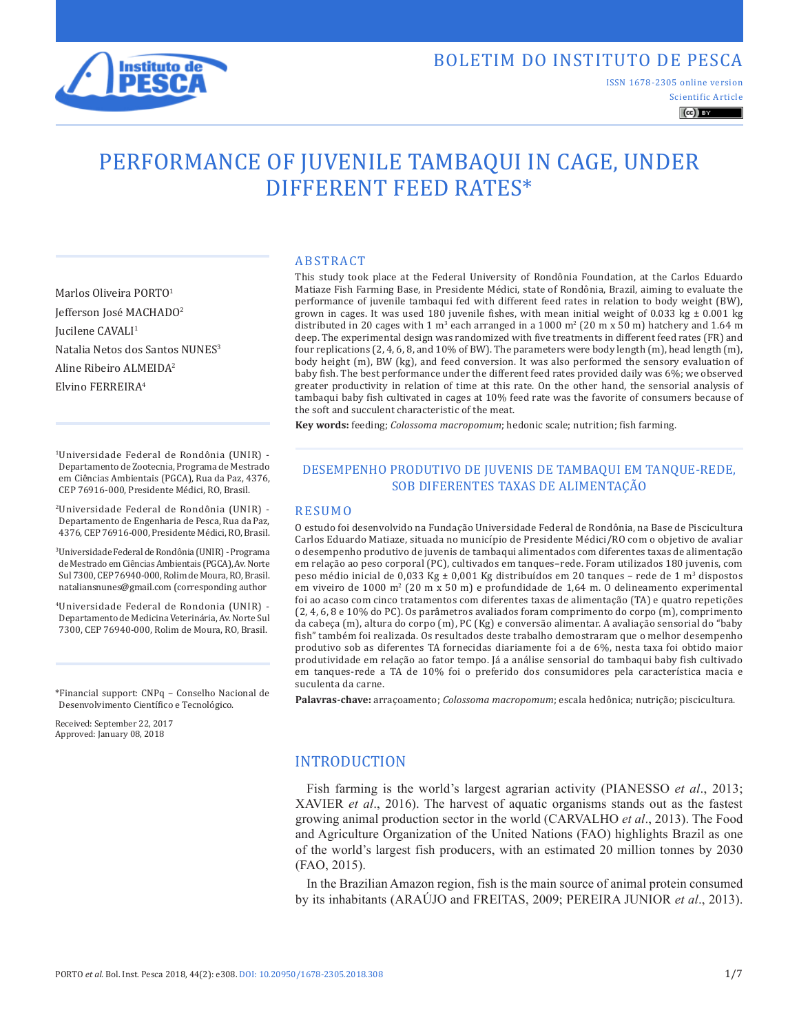

# BOLETIM DO INSTITUTO DE PESCA

ISSN 1678-2305 online version

Scientific Article  $\left(\mathrm{cc}\right)$  BY

# PERFORMANCE OF JUVENILE TAMBAQUI IN CAGE, UNDER DIFFERENT FEED RATES\*

ABSTRACT

Marlos Oliveira PORTO<sup>1</sup> Jefferson José MACHADO2 Iucilene CAVALI<sup>1</sup> Natalia Netos dos Santos NUNES<sup>3</sup> Aline Ribeiro ALMEIDA2 Elvino FERREIRA4

1Universidade Federal de Rondônia (UNIR) - Departamento de Zootecnia, Programa de Mestrado em Ciências Ambientais (PGCA), Rua da Paz, 4376, CEP 76916-000, Presidente Médici, RO, Brasil.

2Universidade Federal de Rondônia (UNIR) - Departamento de Engenharia de Pesca, Rua da Paz, 4376, CEP 76916-000, Presidente Médici, RO, Brasil.

3Universidade Federal de Rondônia (UNIR) - Programa de Mestrado em Ciências Ambientais (PGCA), Av. Norte Sul 7300, CEP 76940-000, Rolim de Moura, RO, Brasil. nataliansnunes@gmail.com (corresponding author

4Universidade Federal de Rondonia (UNIR) - Departamento de Medicina Veterinária, Av. Norte Sul 7300, CEP 76940-000, Rolim de Moura, RO, Brasil.

\*Financial support: CNPq – Conselho Nacional de Desenvolvimento Científico e Tecnológico.

Received: September 22, 2017 Approved: January 08, 2018

This study took place at the Federal University of Rondônia Foundation, at the Carlos Eduardo Matiaze Fish Farming Base, in Presidente Médici, state of Rondônia, Brazil, aiming to evaluate the performance of juvenile tambaqui fed with different feed rates in relation to body weight (BW), grown in cages. It was used 180 juvenile fishes, with mean initial weight of 0.033 kg  $\pm$  0.001 kg distributed in 20 cages with 1 m<sup>3</sup> each arranged in a 1000 m<sup>2</sup> (20 m x 50 m) hatchery and 1.64 m deep. The experimental design was randomized with five treatments in different feed rates (FR) and four replications (2, 4, 6, 8, and 10% of BW). The parameters were body length (m), head length (m), body height (m), BW (kg), and feed conversion. It was also performed the sensory evaluation of baby fish. The best performance under the different feed rates provided daily was 6%; we observed greater productivity in relation of time at this rate. On the other hand, the sensorial analysis of tambaqui baby fish cultivated in cages at 10% feed rate was the favorite of consumers because of the soft and succulent characteristic of the meat.

**Key words:** feeding; *Colossoma macropomum*; hedonic scale; nutrition; fish farming.

### DESEMPENHO PRODUTIVO DE JUVENIS DE TAMBAQUI EM TANQUE-REDE, SOB DIFERENTES TAXAS DE ALIMENTAÇÃO

#### RESUMO

O estudo foi desenvolvido na Fundação Universidade Federal de Rondônia, na Base de Piscicultura Carlos Eduardo Matiaze, situada no município de Presidente Médici/RO com o objetivo de avaliar o desempenho produtivo de juvenis de tambaqui alimentados com diferentes taxas de alimentação em relação ao peso corporal (PC), cultivados em tanques–rede. Foram utilizados 180 juvenis, com peso médio inicial de 0,033 Kg ± 0,001 Kg distribuídos em 20 tanques – rede de 1 m3 dispostos em viveiro de 1000 m2 (20 m x 50 m) e profundidade de 1,64 m. O delineamento experimental foi ao acaso com cinco tratamentos com diferentes taxas de alimentação (TA) e quatro repetições (2, 4, 6, 8 e 10% do PC). Os parâmetros avaliados foram comprimento do corpo (m), comprimento da cabeça (m), altura do corpo (m), PC (Kg) e conversão alimentar. A avaliação sensorial do "baby fish" também foi realizada. Os resultados deste trabalho demostraram que o melhor desempenho produtivo sob as diferentes TA fornecidas diariamente foi a de 6%, nesta taxa foi obtido maior produtividade em relação ao fator tempo. Já a análise sensorial do tambaqui baby fish cultivado em tanques-rede a TA de 10% foi o preferido dos consumidores pela característica macia e suculenta da carne.

**Palavras-chave:** arraçoamento; *Colossoma macropomum*; escala hedônica; nutrição; piscicultura.

# INTRODUCTION

Fish farming is the world's largest agrarian activity (PIANESSO *et al*., 2013; XAVIER *et al*., 2016). The harvest of aquatic organisms stands out as the fastest growing animal production sector in the world (CARVALHO *et al*., 2013). The Food and Agriculture Organization of the United Nations (FAO) highlights Brazil as one of the world's largest fish producers, with an estimated 20 million tonnes by 2030 (FAO, 2015).

In the Brazilian Amazon region, fish is the main source of animal protein consumed by its inhabitants (ARAÚJO and FREITAS, 2009; PEREIRA JUNIOR *et al*., 2013).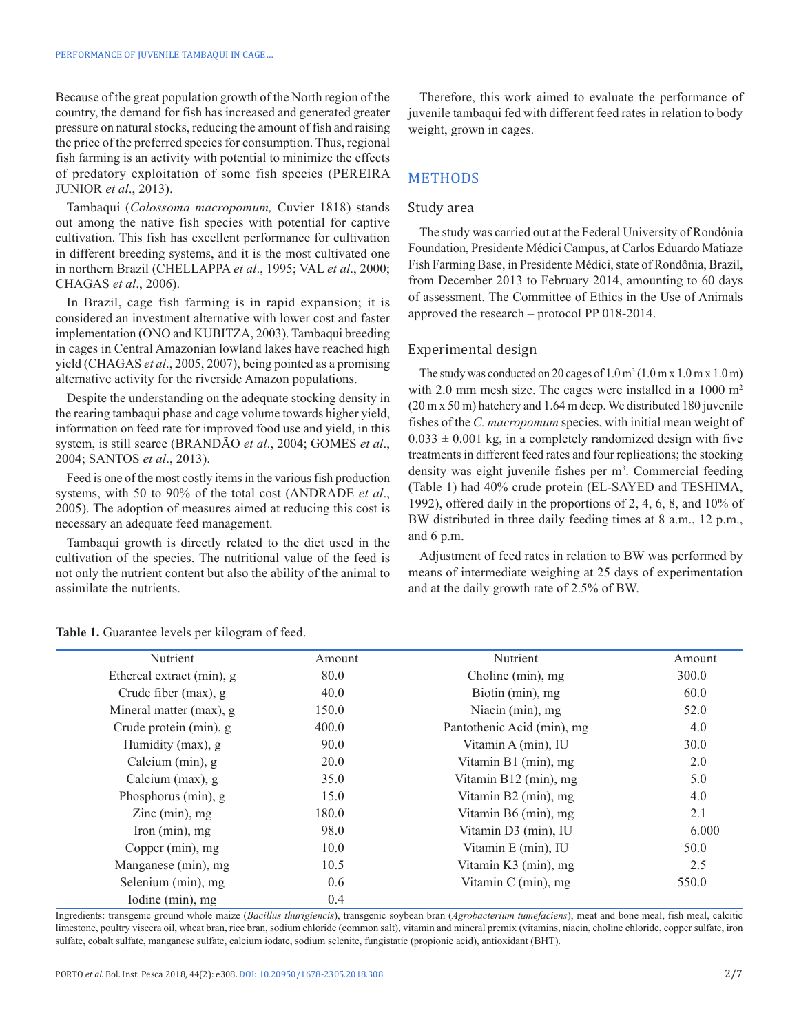Because of the great population growth of the North region of the country, the demand for fish has increased and generated greater pressure on natural stocks, reducing the amount of fish and raising the price of the preferred species for consumption. Thus, regional fish farming is an activity with potential to minimize the effects of predatory exploitation of some fish species (PEREIRA JUNIOR *et al*., 2013).

Tambaqui (*Colossoma macropomum,* Cuvier 1818) stands out among the native fish species with potential for captive cultivation. This fish has excellent performance for cultivation in different breeding systems, and it is the most cultivated one in northern Brazil (CHELLAPPA *et al*., 1995; VAL *et al*., 2000; CHAGAS *et al*., 2006).

In Brazil, cage fish farming is in rapid expansion; it is considered an investment alternative with lower cost and faster implementation (ONO and KUBITZA, 2003). Tambaqui breeding in cages in Central Amazonian lowland lakes have reached high yield (CHAGAS *et al*., 2005, 2007), being pointed as a promising alternative activity for the riverside Amazon populations.

Despite the understanding on the adequate stocking density in the rearing tambaqui phase and cage volume towards higher yield, information on feed rate for improved food use and yield, in this system, is still scarce (BRANDÃO *et al*., 2004; GOMES *et al*., 2004; SANTOS *et al*., 2013).

Feed is one of the most costly items in the various fish production systems, with 50 to 90% of the total cost (ANDRADE *et al*., 2005). The adoption of measures aimed at reducing this cost is necessary an adequate feed management.

Tambaqui growth is directly related to the diet used in the cultivation of the species. The nutritional value of the feed is not only the nutrient content but also the ability of the animal to assimilate the nutrients.

Therefore, this work aimed to evaluate the performance of juvenile tambaqui fed with different feed rates in relation to body weight, grown in cages.

# METHODS

# Study area

The study was carried out at the Federal University of Rondônia Foundation, Presidente Médici Campus, at Carlos Eduardo Matiaze Fish Farming Base, in Presidente Médici, state of Rondônia, Brazil, from December 2013 to February 2014, amounting to 60 days of assessment. The Committee of Ethics in the Use of Animals approved the research – protocol PP 018-2014.

# Experimental design

The study was conducted on 20 cages of  $1.0 \text{ m}^3 (1.0 \text{ m} \text{ x } 1.0 \text{ m} \text{ x } 1.0 \text{ m})$ with 2.0 mm mesh size. The cages were installed in a 1000 m<sup>2</sup> (20 m x 50 m) hatchery and 1.64 m deep. We distributed 180 juvenile fishes of the *C. macropomum* species, with initial mean weight of  $0.033 \pm 0.001$  kg, in a completely randomized design with five treatments in different feed rates and four replications; the stocking density was eight juvenile fishes per m<sup>3</sup>. Commercial feeding (Table 1) had 40% crude protein (EL-SAYED and TESHIMA, 1992), offered daily in the proportions of 2, 4, 6, 8, and 10% of BW distributed in three daily feeding times at 8 a.m., 12 p.m., and 6 p.m.

Adjustment of feed rates in relation to BW was performed by means of intermediate weighing at 25 days of experimentation and at the daily growth rate of 2.5% of BW.

| Nutrient                  | Amount | Nutrient                   | Amount |
|---------------------------|--------|----------------------------|--------|
| Ethereal extract (min), g | 80.0   | Choline (min), mg          | 300.0  |
| Crude fiber (max), g      | 40.0   | Biotin (min), mg           | 60.0   |
| Mineral matter (max), g   | 150.0  | Niacin (min), mg           | 52.0   |
| Crude protein (min), g    | 400.0  | Pantothenic Acid (min), mg | 4.0    |
| Humidity (max), g         | 90.0   | Vitamin A (min), IU        | 30.0   |
| Calcium (min), g          | 20.0   | Vitamin B1 (min), mg       | 2.0    |
| Calcium (max), g          | 35.0   | Vitamin B12 (min), mg      | 5.0    |
| Phosphorus (min), g       | 15.0   | Vitamin B2 (min), mg       | 4.0    |
| Zinc $(min)$ , mg         | 180.0  | Vitamin B6 (min), mg       | 2.1    |
| Iron $(min)$ , mg         | 98.0   | Vitamin D3 (min), IU       | 6.000  |
| Copper (min), mg          | 10.0   | Vitamin E (min), IU        | 50.0   |
| Manganese (min), mg       | 10.5   | Vitamin K3 (min), mg       | 2.5    |
| Selenium (min), mg        | 0.6    | Vitamin C (min), mg        | 550.0  |
| Iodine (min), mg          | 0.4    |                            |        |

**Table 1.** Guarantee levels per kilogram of feed.

Ingredients: transgenic ground whole maize (*Bacillus thurigiencis*), transgenic soybean bran (*Agrobacterium tumefaciens*), meat and bone meal, fish meal, calcitic limestone, poultry viscera oil, wheat bran, rice bran, sodium chloride (common salt), vitamin and mineral premix (vitamins, niacin, choline chloride, copper sulfate, iron sulfate, cobalt sulfate, manganese sulfate, calcium iodate, sodium selenite, fungistatic (propionic acid), antioxidant (BHT).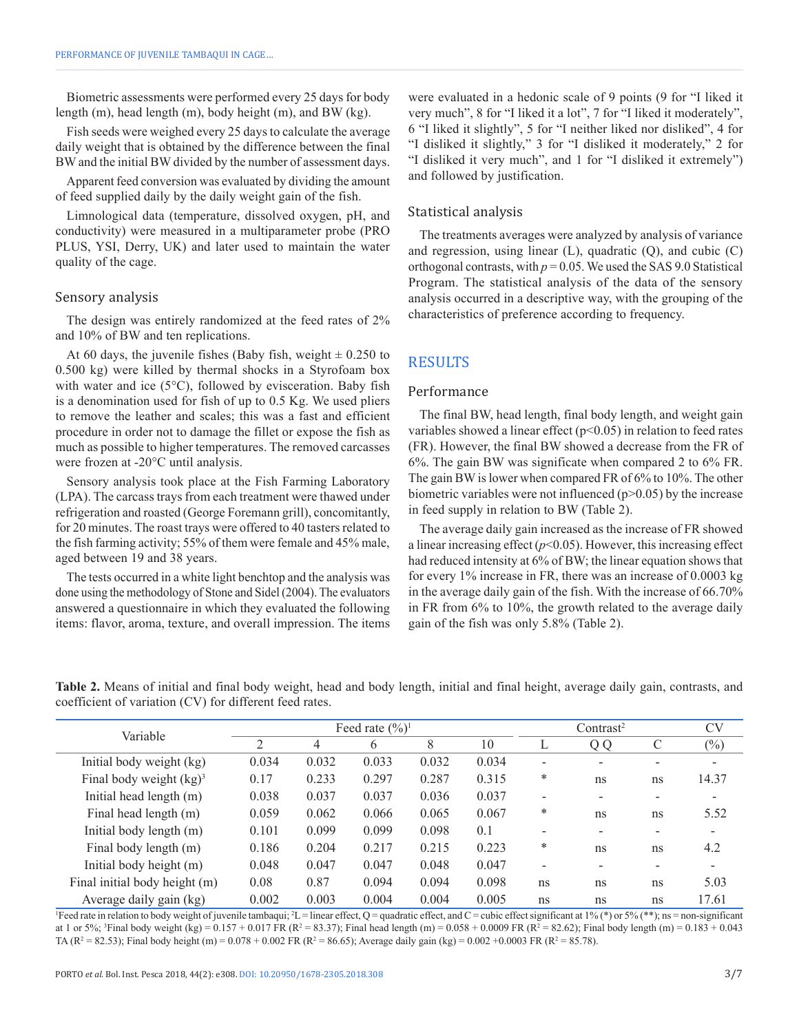Biometric assessments were performed every 25 days for body length (m), head length (m), body height (m), and BW (kg).

Fish seeds were weighed every 25 days to calculate the average daily weight that is obtained by the difference between the final BW and the initial BW divided by the number of assessment days.

Apparent feed conversion was evaluated by dividing the amount of feed supplied daily by the daily weight gain of the fish.

Limnological data (temperature, dissolved oxygen, pH, and conductivity) were measured in a multiparameter probe (PRO PLUS, YSI, Derry, UK) and later used to maintain the water quality of the cage.

#### Sensory analysis

The design was entirely randomized at the feed rates of 2% and 10% of BW and ten replications.

At 60 days, the juvenile fishes (Baby fish, weight  $\pm$  0.250 to 0.500 kg) were killed by thermal shocks in a Styrofoam box with water and ice  $(5^{\circ}C)$ , followed by evisceration. Baby fish is a denomination used for fish of up to 0.5 Kg. We used pliers to remove the leather and scales; this was a fast and efficient procedure in order not to damage the fillet or expose the fish as much as possible to higher temperatures. The removed carcasses were frozen at -20°C until analysis.

Sensory analysis took place at the Fish Farming Laboratory (LPA). The carcass trays from each treatment were thawed under refrigeration and roasted (George Foremann grill), concomitantly, for 20 minutes. The roast trays were offered to 40 tasters related to the fish farming activity; 55% of them were female and 45% male, aged between 19 and 38 years.

The tests occurred in a white light benchtop and the analysis was done using the methodology of Stone and Sidel (2004). The evaluators answered a questionnaire in which they evaluated the following items: flavor, aroma, texture, and overall impression. The items were evaluated in a hedonic scale of 9 points (9 for "I liked it very much", 8 for "I liked it a lot", 7 for "I liked it moderately", 6 "I liked it slightly", 5 for "I neither liked nor disliked", 4 for "I disliked it slightly," 3 for "I disliked it moderately," 2 for "I disliked it very much", and 1 for "I disliked it extremely") and followed by justification.

#### Statistical analysis

The treatments averages were analyzed by analysis of variance and regression, using linear  $(L)$ , quadratic  $(Q)$ , and cubic  $(C)$ orthogonal contrasts, with  $p = 0.05$ . We used the SAS 9.0 Statistical Program. The statistical analysis of the data of the sensory analysis occurred in a descriptive way, with the grouping of the characteristics of preference according to frequency.

# RESULTS

#### Performance

The final BW, head length, final body length, and weight gain variables showed a linear effect  $(p<0.05)$  in relation to feed rates (FR). However, the final BW showed a decrease from the FR of 6%. The gain BW was significate when compared 2 to 6% FR. The gain BW is lower when compared FR of 6% to 10%. The other biometric variables were not influenced  $(p>0.05)$  by the increase in feed supply in relation to BW (Table 2).

The average daily gain increased as the increase of FR showed a linear increasing effect  $(p<0.05)$ . However, this increasing effect had reduced intensity at 6% of BW; the linear equation shows that for every 1% increase in FR, there was an increase of 0.0003 kg in the average daily gain of the fish. With the increase of 66.70% in FR from 6% to 10%, the growth related to the average daily gain of the fish was only 5.8% (Table 2).

**Table 2.** Means of initial and final body weight, head and body length, initial and final height, average daily gain, contrasts, and coefficient of variation (CV) for different feed rates.

| Variable                      |       | Feed rate $(\frac{6}{6})^1$ |       |       |       |                          | Contrast <sup>2</sup> |                          |                            |
|-------------------------------|-------|-----------------------------|-------|-------|-------|--------------------------|-----------------------|--------------------------|----------------------------|
|                               | ↑     | 4                           | 6     | 8     | 10    |                          | Q Q                   | C                        | $\left(\frac{0}{0}\right)$ |
| Initial body weight (kg)      | 0.034 | 0.032                       | 0.033 | 0.032 | 0.034 |                          |                       | $\equiv$                 |                            |
| Final body weight $(kg)^3$    | 0.17  | 0.233                       | 0.297 | 0.287 | 0.315 | *                        | ns                    | ns                       | 14.37                      |
| Initial head length (m)       | 0.038 | 0.037                       | 0.037 | 0.036 | 0.037 | $\overline{\phantom{0}}$ | -                     | $\overline{\phantom{a}}$ |                            |
| Final head length (m)         | 0.059 | 0.062                       | 0.066 | 0.065 | 0.067 | *                        | ns                    | ns                       | 5.52                       |
| Initial body length (m)       | 0.101 | 0.099                       | 0.099 | 0.098 | 0.1   |                          |                       | $\overline{\phantom{0}}$ | $\overline{\phantom{a}}$   |
| Final body length (m)         | 0.186 | 0.204                       | 0.217 | 0.215 | 0.223 | *                        | ns                    | ns                       | 4.2                        |
| Initial body height (m)       | 0.048 | 0.047                       | 0.047 | 0.048 | 0.047 | $\overline{\phantom{0}}$ | -                     | -                        | $\overline{\phantom{a}}$   |
| Final initial body height (m) | 0.08  | 0.87                        | 0.094 | 0.094 | 0.098 | ns                       | ns                    | ns                       | 5.03                       |
| Average daily gain (kg)       | 0.002 | 0.003                       | 0.004 | 0.004 | 0.005 | ns                       | ns                    | ns                       | 17.61                      |

Feed rate in relation to body weight of juvenile tambaqui;  $2L =$  linear effect, Q = quadratic effect, and C = cubic effect significant at 1% (\*) or 5% (\*\*); ns = non-significant at 1 or 5%; <sup>3</sup>Final body weight (kg) = 0.157 + 0.017 FR (R<sup>2</sup> = 83.37); Final head length (m) = 0.058 + 0.0009 FR (R<sup>2</sup> = 82.62); Final body length (m) = 0.183 + 0.043 TA ( $R^2 = 82.53$ ); Final body height (m) = 0.078 + 0.002 FR ( $R^2 = 86.65$ ); Average daily gain (kg) = 0.002 +0.0003 FR ( $R^2 = 85.78$ ).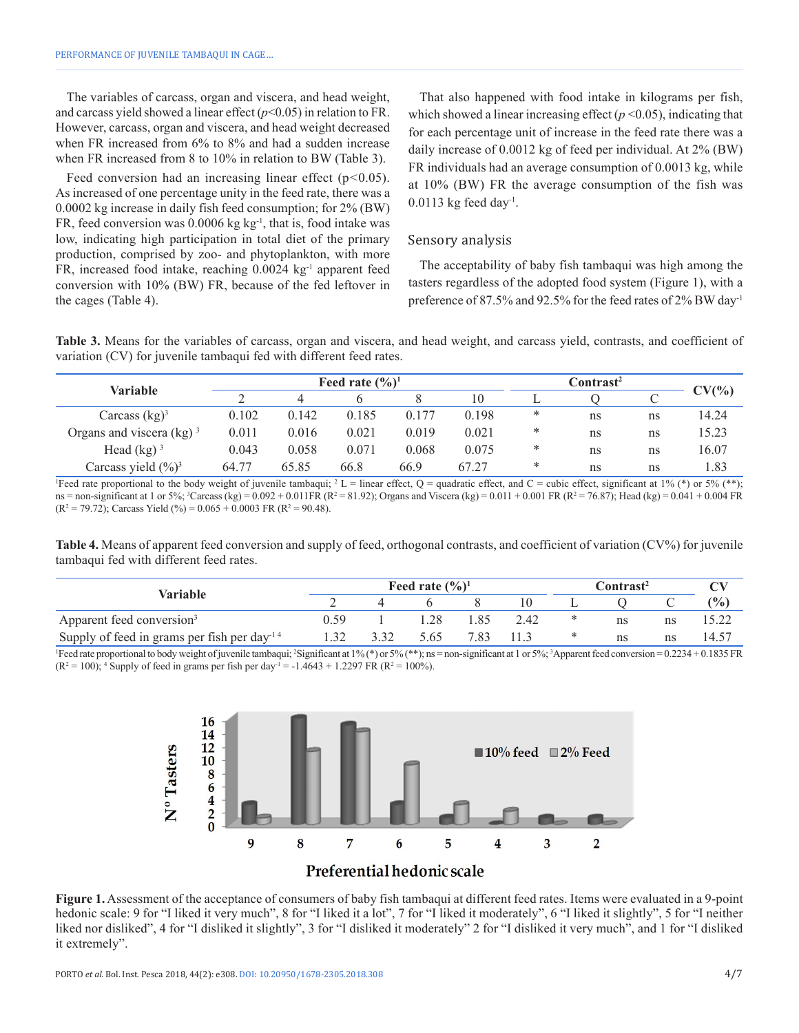The variables of carcass, organ and viscera, and head weight, and carcass yield showed a linear effect (*p*<0.05) in relation to FR. However, carcass, organ and viscera, and head weight decreased when FR increased from 6% to 8% and had a sudden increase when FR increased from 8 to 10% in relation to BW (Table 3).

Feed conversion had an increasing linear effect (p*<*0.05). As increased of one percentage unity in the feed rate, there was a 0.0002 kg increase in daily fish feed consumption; for 2% (BW) FR, feed conversion was  $0.0006$  kg kg<sup>-1</sup>, that is, food intake was low, indicating high participation in total diet of the primary production, comprised by zoo- and phytoplankton, with more FR, increased food intake, reaching 0.0024 kg<sup>-1</sup> apparent feed conversion with 10% (BW) FR, because of the fed leftover in the cages (Table 4).

That also happened with food intake in kilograms per fish, which showed a linear increasing effect  $(p<0.05)$ , indicating that for each percentage unit of increase in the feed rate there was a daily increase of 0.0012 kg of feed per individual. At 2% (BW) FR individuals had an average consumption of 0.0013 kg, while at 10% (BW) FR the average consumption of the fish was  $0.0113$  kg feed day<sup>-1</sup>.

#### Sensory analysis

The acceptability of baby fish tambaqui was high among the tasters regardless of the adopted food system (Figure 1), with a preference of 87.5% and 92.5% for the feed rates of 2% BW day-1

**Table 3.** Means for the variables of carcass, organ and viscera, and head weight, and carcass yield, contrasts, and coefficient of variation (CV) for juvenile tambaqui fed with different feed rates.

| Variable                        |       |       | Feed rate $(\frac{6}{6})^1$ |       | Contrast <sup>2</sup> |        |    |    |          |
|---------------------------------|-------|-------|-----------------------------|-------|-----------------------|--------|----|----|----------|
|                                 |       |       |                             |       | 10                    |        |    | ◡  | $CV(\%)$ |
| Carcass $(kg)^3$                | 0.102 | 0.142 | 0.185                       | 0.177 | 0.198                 | ∗      | ns | ns | 14.24    |
| Organs and viscera $(kg)^3$     | 0.011 | 0.016 | 0.021                       | 0.019 | 0.021                 | ∗      | ns | ns | 15.23    |
| Head $(kg)^3$                   | 0.043 | 0.058 | 0.071                       | 0.068 | 0.075                 | $\ast$ | ns | ns | 16.07    |
| Carcass yield $(\frac{9}{6})^3$ | 64.77 | 65.85 | 66.8                        | 66.9  | 67.27                 | *      | ns | ns | 1.83     |

Feed rate proportional to the body weight of juvenile tambaqui; <sup>2</sup> L = linear effect, Q = quadratic effect, and C = cubic effect, significant at 1% (\*) or 5% (\*\*); ns = non-significant at 1 or 5%; <sup>3</sup>Carcass (kg) = 0.092 + 0.011FR (R<sup>2</sup> = 81.92); Organs and Viscera (kg) = 0.011 + 0.001 FR (R<sup>2</sup> = 76.87); Head (kg) = 0.041 + 0.004 FR  $(R^2 = 79.72)$ ; Carcass Yield  $(\%)= 0.065 + 0.0003$  FR  $(R^2 = 90.48)$ .

**Table 4.** Means of apparent feed conversion and supply of feed, orthogonal contrasts, and coefficient of variation (CV%) for juvenile tambaqui fed with different feed rates.

| Variable                                                            | Feed rate $(\frac{6}{6})^1$ |  |     |      |      | C <b>ontrast<sup>2</sup></b> |    |    | $\mathbf{C}\mathbf{V}$ |
|---------------------------------------------------------------------|-----------------------------|--|-----|------|------|------------------------------|----|----|------------------------|
|                                                                     |                             |  |     |      |      |                              |    |    | (%)                    |
| Apparent feed conversion <sup>3</sup>                               | ) 59                        |  |     | '.85 | 2.42 | ∗                            | ns | ns |                        |
| Supply of feed in grams per fish per day <sup><math>14</math></sup> |                             |  | .65 | 7.83 |      | ∗                            | ns | ns | $14.5^{\circ}$         |

Feed rate proportional to body weight of juvenile tambaqui; <sup>2</sup>Significant at 1% (\*) or 5% (\*\*); ns = non-significant at 1 or 5%; <sup>3</sup>Apparent feed conversion = 0.2234 + 0.1835 FR  $(R^2 = 100)$ ; <sup>4</sup> Supply of feed in grams per fish per day<sup>-1</sup> = -1.4643 + 1.2297 FR ( $R^2 = 100\%$ ).



**Figure 1.** Assessment of the acceptance of consumers of baby fish tambaqui at different feed rates. Items were evaluated in a 9-point hedonic scale: 9 for "I liked it very much", 8 for "I liked it a lot", 7 for "I liked it moderately", 6 "I liked it slightly", 5 for "I neither liked nor disliked", 4 for "I disliked it slightly", 3 for "I disliked it moderately" 2 for "I disliked it very much", and 1 for "I disliked it extremely".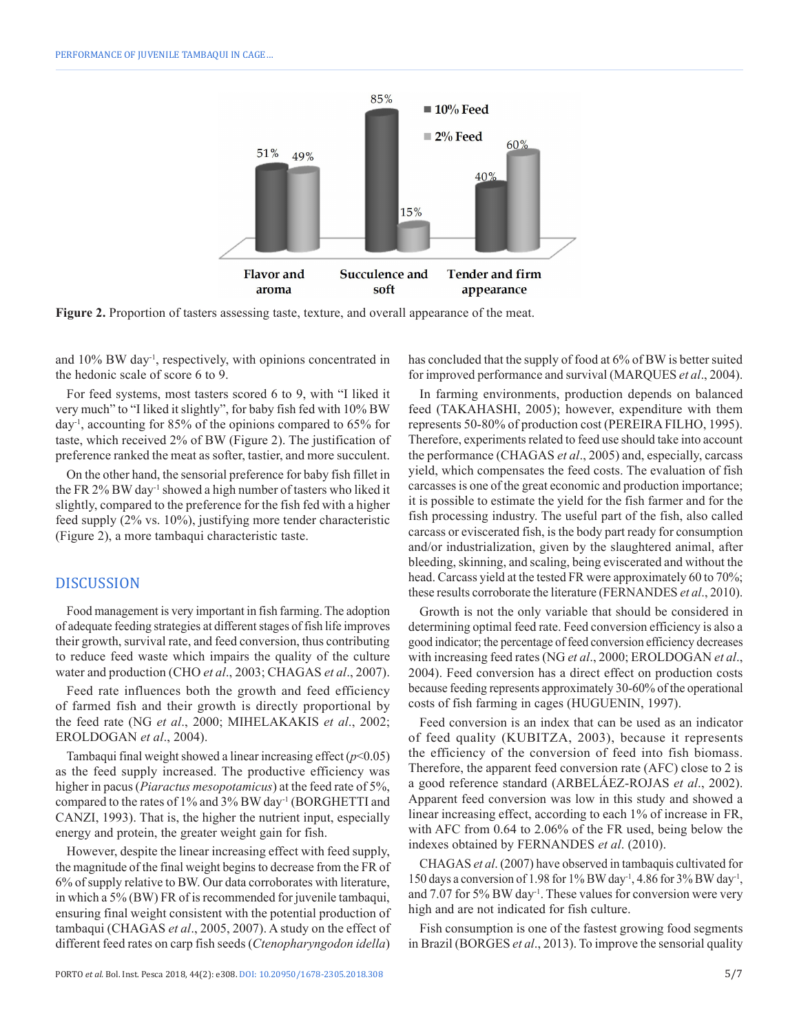

**Figure 2.** Proportion of tasters assessing taste, texture, and overall appearance of the meat.

and 10% BW day-1, respectively, with opinions concentrated in the hedonic scale of score 6 to 9.

For feed systems, most tasters scored 6 to 9, with "I liked it very much" to "I liked it slightly", for baby fish fed with 10% BW day-1, accounting for 85% of the opinions compared to 65% for taste, which received 2% of BW (Figure 2). The justification of preference ranked the meat as softer, tastier, and more succulent.

On the other hand, the sensorial preference for baby fish fillet in the FR 2% BW day-1 showed a high number of tasters who liked it slightly, compared to the preference for the fish fed with a higher feed supply (2% vs. 10%), justifying more tender characteristic (Figure 2), a more tambaqui characteristic taste.

# DISCUSSION

Food management is very important in fish farming. The adoption of adequate feeding strategies at different stages of fish life improves their growth, survival rate, and feed conversion, thus contributing to reduce feed waste which impairs the quality of the culture water and production (CHO *et al*., 2003; CHAGAS *et al*., 2007).

Feed rate influences both the growth and feed efficiency of farmed fish and their growth is directly proportional by the feed rate (NG *et al*., 2000; MIHELAKAKIS *et al*., 2002; EROLDOGAN *et al*., 2004).

Tambaqui final weight showed a linear increasing effect  $(p<0.05)$ as the feed supply increased. The productive efficiency was higher in pacus (*Piaractus mesopotamicus*) at the feed rate of 5%, compared to the rates of 1% and 3% BW day-1 (BORGHETTI and CANZI, 1993). That is, the higher the nutrient input, especially energy and protein, the greater weight gain for fish.

However, despite the linear increasing effect with feed supply, the magnitude of the final weight begins to decrease from the FR of 6% of supply relative to BW. Our data corroborates with literature, in which a 5% (BW) FR of is recommended for juvenile tambaqui, ensuring final weight consistent with the potential production of tambaqui (CHAGAS *et al*., 2005, 2007). A study on the effect of different feed rates on carp fish seeds (*Ctenopharyngodon idella*) has concluded that the supply of food at 6% of BW is better suited for improved performance and survival (MARQUES *et al*., 2004).

In farming environments, production depends on balanced feed (TAKAHASHI, 2005); however, expenditure with them represents 50-80% of production cost (PEREIRA FILHO, 1995). Therefore, experiments related to feed use should take into account the performance (CHAGAS *et al*., 2005) and, especially, carcass yield, which compensates the feed costs. The evaluation of fish carcasses is one of the great economic and production importance; it is possible to estimate the yield for the fish farmer and for the fish processing industry. The useful part of the fish, also called carcass or eviscerated fish, is the body part ready for consumption and/or industrialization, given by the slaughtered animal, after bleeding, skinning, and scaling, being eviscerated and without the head. Carcass yield at the tested FR were approximately 60 to 70%; these results corroborate the literature (FERNANDES *et al*., 2010).

Growth is not the only variable that should be considered in determining optimal feed rate. Feed conversion efficiency is also a good indicator; the percentage of feed conversion efficiency decreases with increasing feed rates (NG *et al*., 2000; EROLDOGAN *et al*., 2004). Feed conversion has a direct effect on production costs because feeding represents approximately 30-60% of the operational costs of fish farming in cages (HUGUENIN, 1997).

Feed conversion is an index that can be used as an indicator of feed quality (KUBITZA, 2003), because it represents the efficiency of the conversion of feed into fish biomass. Therefore, the apparent feed conversion rate (AFC) close to 2 is a good reference standard (ARBELÁEZ-ROJAS *et al*., 2002). Apparent feed conversion was low in this study and showed a linear increasing effect, according to each 1% of increase in FR, with AFC from 0.64 to 2.06% of the FR used, being below the indexes obtained by FERNANDES *et al*. (2010).

CHAGAS *et al*. (2007) have observed in tambaquis cultivated for 150 days a conversion of 1.98 for 1% BW day<sup>-1</sup>, 4.86 for 3% BW day<sup>-1</sup>, and 7.07 for 5% BW day-1. These values for conversion were very high and are not indicated for fish culture.

Fish consumption is one of the fastest growing food segments in Brazil (BORGES *et al*., 2013). To improve the sensorial quality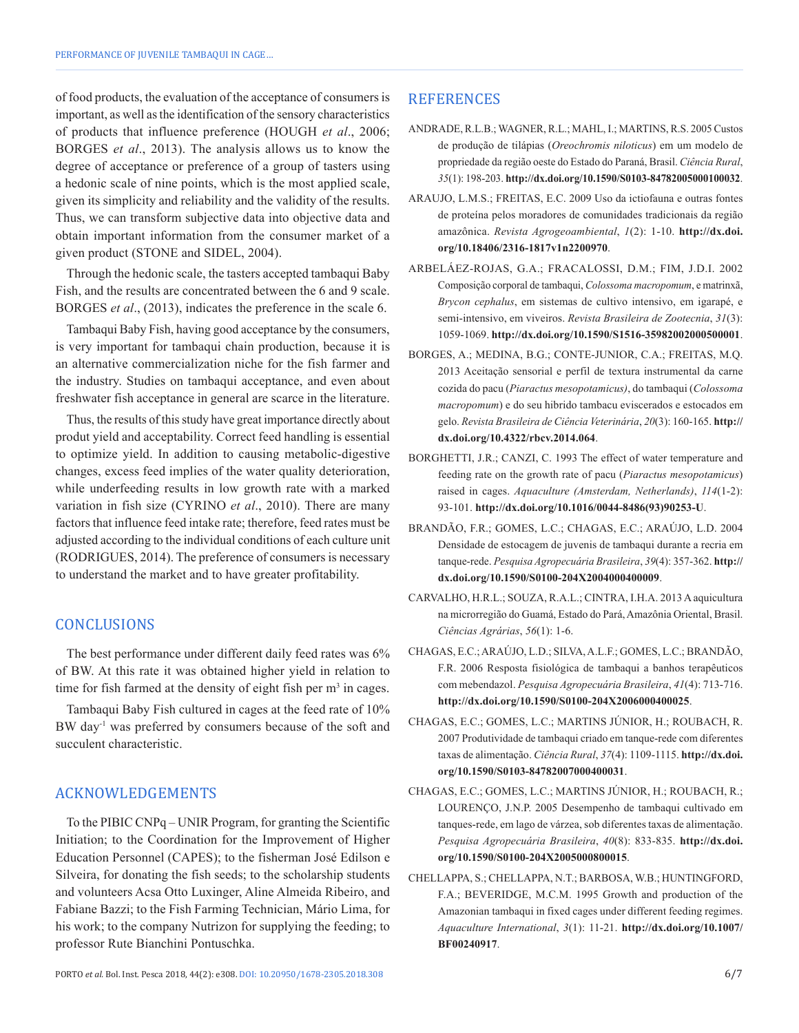of food products, the evaluation of the acceptance of consumers is important, as well as the identification of the sensory characteristics of products that influence preference (HOUGH *et al*., 2006; BORGES *et al*., 2013). The analysis allows us to know the degree of acceptance or preference of a group of tasters using a hedonic scale of nine points, which is the most applied scale, given its simplicity and reliability and the validity of the results. Thus, we can transform subjective data into objective data and obtain important information from the consumer market of a given product (STONE and SIDEL, 2004).

Through the hedonic scale, the tasters accepted tambaqui Baby Fish, and the results are concentrated between the 6 and 9 scale. BORGES *et al*., (2013), indicates the preference in the scale 6.

Tambaqui Baby Fish, having good acceptance by the consumers, is very important for tambaqui chain production, because it is an alternative commercialization niche for the fish farmer and the industry. Studies on tambaqui acceptance, and even about freshwater fish acceptance in general are scarce in the literature.

Thus, the results of this study have great importance directly about produt yield and acceptability. Correct feed handling is essential to optimize yield. In addition to causing metabolic-digestive changes, excess feed implies of the water quality deterioration, while underfeeding results in low growth rate with a marked variation in fish size (CYRINO *et al*., 2010). There are many factors that influence feed intake rate; therefore, feed rates must be adjusted according to the individual conditions of each culture unit (RODRIGUES, 2014). The preference of consumers is necessary to understand the market and to have greater profitability.

# **CONCLUSIONS**

The best performance under different daily feed rates was 6% of BW. At this rate it was obtained higher yield in relation to time for fish farmed at the density of eight fish per  $m<sup>3</sup>$  in cages.

Tambaqui Baby Fish cultured in cages at the feed rate of 10% BW day<sup>-1</sup> was preferred by consumers because of the soft and succulent characteristic.

# ACKNOWLEDGEMENTS

To the PIBIC CNPq – UNIR Program, for granting the Scientific Initiation; to the Coordination for the Improvement of Higher Education Personnel (CAPES); to the fisherman José Edilson e Silveira, for donating the fish seeds; to the scholarship students and volunteers Acsa Otto Luxinger, Aline Almeida Ribeiro, and Fabiane Bazzi; to the Fish Farming Technician, Mário Lima, for his work; to the company Nutrizon for supplying the feeding; to professor Rute Bianchini Pontuschka.

- ANDRADE, R.L.B.; WAGNER, R.L.; MAHL, I.; MARTINS, R.S. 2005 Custos de produção de tilápias (*Oreochromis niloticus*) em um modelo de propriedade da região oeste do Estado do Paraná, Brasil. *Ciência Rural*, *35*(1): 198-203. **[http://dx.doi.org/10.1590/S0103-84782005000100032](https://doi.org/10.1590/S0103-84782005000100032)**.
- ARAUJO, L.M.S.; FREITAS, E.C. 2009 Uso da ictiofauna e outras fontes de proteína pelos moradores de comunidades tradicionais da região amazônica. *Revista Agrogeoambiental*, *1*(2): 1-10. **[http://dx.doi.](https://doi.org/10.18406/2316-1817v1n2200970) [org/10.18406/2316-1817v1n2200970](https://doi.org/10.18406/2316-1817v1n2200970)**.
- ARBELÁEZ-ROJAS, G.A.; FRACALOSSI, D.M.; FIM, J.D.I. 2002 Composição corporal de tambaqui, *Colossoma macropomum*, e matrinxã, *Brycon cephalus*, em sistemas de cultivo intensivo, em igarapé, e semi-intensivo, em viveiros. *Revista Brasileira de Zootecnia*, *31*(3): 1059-1069. **[http://dx.doi.org/10.1590/S1516-35982002000500001](https://doi.org/10.1590/S1516-35982002000500001)**.
- BORGES, A.; MEDINA, B.G.; CONTE-JUNIOR, C.A.; FREITAS, M.Q. 2013 Aceitação sensorial e perfil de textura instrumental da carne cozida do pacu (*Piaractus mesopotamicus)*, do tambaqui (*Colossoma macropomum*) e do seu hibrido tambacu eviscerados e estocados em gelo. *Revista Brasileira de Ciência Veterinária*, *20*(3): 160-165. **[http://](https://doi.org/10.4322/rbcv.2014.064) [dx.doi.org/10.4322/rbcv.2014.064](https://doi.org/10.4322/rbcv.2014.064)**.
- BORGHETTI, J.R.; CANZI, C. 1993 The effect of water temperature and feeding rate on the growth rate of pacu (*Piaractus mesopotamicus*) raised in cages. *Aquaculture (Amsterdam, Netherlands)*, *114*(1-2): 93-101. **[http://dx.doi.org/10.1016/0044-8486\(93\)90253-U](https://doi.org/10.1016/0044-8486(93)90253-U)**.
- BRANDÃO, F.R.; GOMES, L.C.; CHAGAS, E.C.; ARAÚJO, L.D. 2004 Densidade de estocagem de juvenis de tambaqui durante a recria em tanque-rede. *Pesquisa Agropecuária Brasileira*, *39*(4): 357-362. **[http://](https://doi.org/10.1590/S0100-204X2004000400009) [dx.doi.org/10.1590/S0100-204X2004000400009](https://doi.org/10.1590/S0100-204X2004000400009)**.
- CARVALHO, H.R.L.; SOUZA, R.A.L.; CINTRA, I.H.A. 2013 A aquicultura na microrregião do Guamá, Estado do Pará, Amazônia Oriental, Brasil. *Ciências Agrárias*, *56*(1): 1-6.
- CHAGAS, E.C.; ARAÚJO, L.D.; SILVA, A.L.F.; GOMES, L.C.; BRANDÃO, F.R. 2006 Resposta fisiológica de tambaqui a banhos terapêuticos com mebendazol. *Pesquisa Agropecuária Brasileira*, *41*(4): 713-716. **[http://dx.doi.org/10.1590/S0100-204X2006000400025](https://doi.org/10.1590/S0100-204X2006000400025)**.
- CHAGAS, E.C.; GOMES, L.C.; MARTINS JÚNIOR, H.; ROUBACH, R. 2007 Produtividade de tambaqui criado em tanque-rede com diferentes taxas de alimentação. *Ciência Rural*, *37*(4): 1109-1115. **[http://dx.doi.](https://doi.org/10.1590/S0103-84782007000400031) [org/10.1590/S0103-84782007000400031](https://doi.org/10.1590/S0103-84782007000400031)**.
- CHAGAS, E.C.; GOMES, L.C.; MARTINS JÚNIOR, H.; ROUBACH, R.; LOURENÇO, J.N.P. 2005 Desempenho de tambaqui cultivado em tanques-rede, em lago de várzea, sob diferentes taxas de alimentação. *Pesquisa Agropecuária Brasileira*, *40*(8): 833-835. **[http://dx.doi.](https://doi.org/10.1590/S0100-204X2005000800015) [org/10.1590/S0100-204X2005000800015](https://doi.org/10.1590/S0100-204X2005000800015)**.
- CHELLAPPA, S.; CHELLAPPA, N.T.; BARBOSA, W.B.; HUNTINGFORD, F.A.; BEVERIDGE, M.C.M. 1995 Growth and production of the Amazonian tambaqui in fixed cages under different feeding regimes. *Aquaculture International*, *3*(1): 11-21. **[http://dx.doi.org/10.1007/](https://doi.org/10.1007/BF00240917) [BF00240917](https://doi.org/10.1007/BF00240917)**.